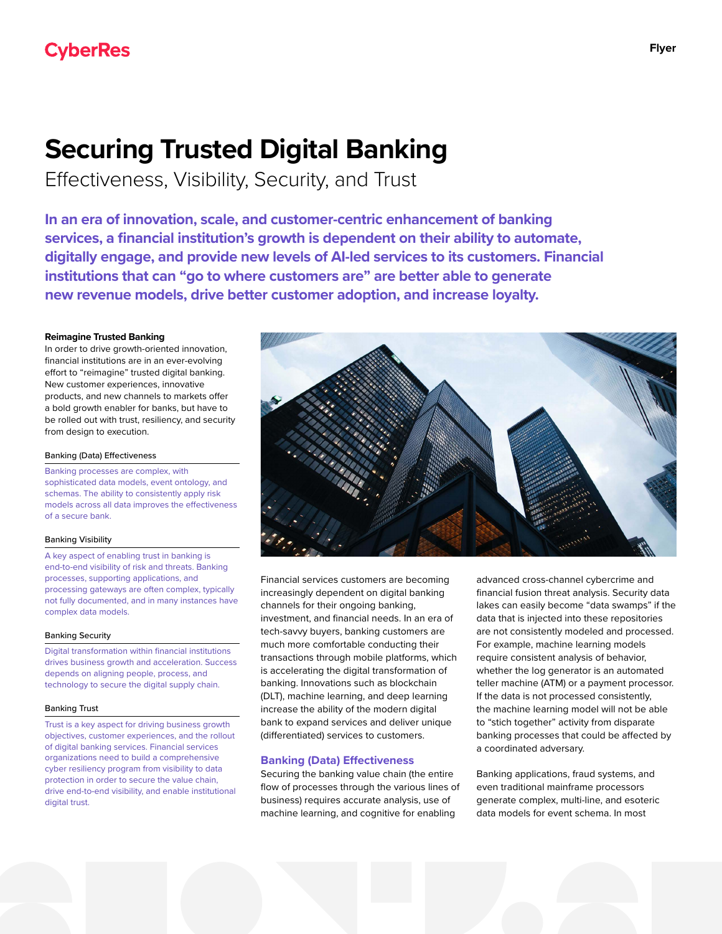# **Securing Trusted Digital Banking**

Effectiveness, Visibility, Security, and Trust

**In an era of innovation, scale, and customer-centric enhancement of banking services, a financial institution's growth is dependent on their ability to automate, digitally engage, and provide new levels of AI-led services to its customers. Financial institutions that can "go to where customers are" are better able to generate new revenue models, drive better customer adoption, and increase loyalty.**

# **Reimagine Trusted Banking**

In order to drive growth-oriented innovation, financial institutions are in an ever-evolving effort to "reimagine" trusted digital banking. New customer experiences, innovative products, and new channels to markets offer a bold growth enabler for banks, but have to be rolled out with trust, resiliency, and security from design to execution.

## Banking (Data) Effectiveness

Banking processes are complex, with sophisticated data models, event ontology, and schemas. The ability to consistently apply risk models across all data improves the effectiveness of a secure bank.

## Banking Visibility

A key aspect of enabling trust in banking is end-to-end visibility of risk and threats. Banking processes, supporting applications, and processing gateways are often complex, typically not fully documented, and in many instances have complex data models.

## Banking Security

Digital transformation within financial institutions drives business growth and acceleration. Success depends on aligning people, process, and technology to secure the digital supply chain.

## Banking Trust

Trust is a key aspect for driving business growth objectives, customer experiences, and the rollout of digital banking services. Financial services organizations need to build a comprehensive cyber resiliency program from visibility to data protection in order to secure the value chain, drive end-to-end visibility, and enable institutional digital trust.



Financial services customers are becoming increasingly dependent on digital banking channels for their ongoing banking, investment, and financial needs. In an era of tech-savvy buyers, banking customers are much more comfortable conducting their transactions through mobile platforms, which is accelerating the digital transformation of banking. Innovations such as blockchain (DLT), machine learning, and deep learning increase the ability of the modern digital bank to expand services and deliver unique (differentiated) services to customers.

# **Banking (Data) Effectiveness**

Securing the banking value chain (the entire flow of processes through the various lines of business) requires accurate analysis, use of machine learning, and cognitive for enabling

advanced cross-channel cybercrime and financial fusion threat analysis. Security data lakes can easily become "data swamps" if the data that is injected into these repositories are not consistently modeled and processed. For example, machine learning models require consistent analysis of behavior, whether the log generator is an automated teller machine (ATM) or a payment processor. If the data is not processed consistently, the machine learning model will not be able to "stich together" activity from disparate banking processes that could be affected by a coordinated adversary.

Banking applications, fraud systems, and even traditional mainframe processors generate complex, multi-line, and esoteric data models for event schema. In most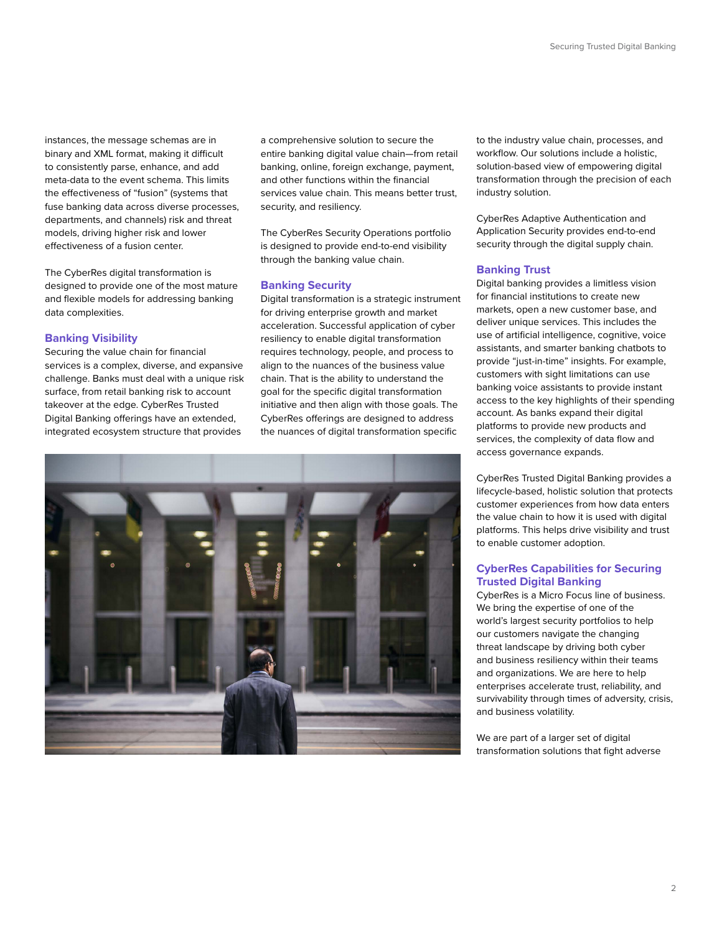instances, the message schemas are in binary and XML format, making it difficult to consistently parse, enhance, and add meta-data to the event schema. This limits the effectiveness of "fusion" (systems that fuse banking data across diverse processes, departments, and channels) risk and threat models, driving higher risk and lower effectiveness of a fusion center.

The CyberRes digital transformation is designed to provide one of the most mature and flexible models for addressing banking data complexities.

# **Banking Visibility**

Securing the value chain for financial services is a complex, diverse, and expansive challenge. Banks must deal with a unique risk surface, from retail banking risk to account takeover at the edge. CyberRes Trusted Digital Banking offerings have an extended, integrated ecosystem structure that provides

a comprehensive solution to secure the entire banking digital value chain—from retail banking, online, foreign exchange, payment, and other functions within the financial services value chain. This means better trust, security, and resiliency.

The CyberRes Security Operations portfolio is designed to provide end-to-end visibility through the banking value chain.

# **Banking Security**

Digital transformation is a strategic instrument for driving enterprise growth and market acceleration. Successful application of cyber resiliency to enable digital transformation requires technology, people, and process to align to the nuances of the business value chain. That is the ability to understand the goal for the specific digital transformation initiative and then align with those goals. The CyberRes offerings are designed to address the nuances of digital transformation specific



to the industry value chain, processes, and workflow. Our solutions include a holistic, solution-based view of empowering digital transformation through the precision of each industry solution.

CyberRes Adaptive Authentication and Application Security provides end-to-end security through the digital supply chain.

# **Banking Trust**

Digital banking provides a limitless vision for financial institutions to create new markets, open a new customer base, and deliver unique services. This includes the use of artificial intelligence, cognitive, voice assistants, and smarter banking chatbots to provide "just-in-time" insights. For example, customers with sight limitations can use banking voice assistants to provide instant access to the key highlights of their spending account. As banks expand their digital platforms to provide new products and services, the complexity of data flow and access governance expands.

CyberRes Trusted Digital Banking provides a lifecycle-based, holistic solution that protects customer experiences from how data enters the value chain to how it is used with digital platforms. This helps drive visibility and trust to enable customer adoption.

# **CyberRes Capabilities for Securing Trusted Digital Banking**

CyberRes is a Micro Focus line of business. We bring the expertise of one of the world's largest security portfolios to help our customers navigate the changing threat landscape by driving both cyber and business resiliency within their teams and organizations. We are here to help enterprises accelerate trust, reliability, and survivability through times of adversity, crisis, and business volatility.

We are part of a larger set of digital transformation solutions that fight adverse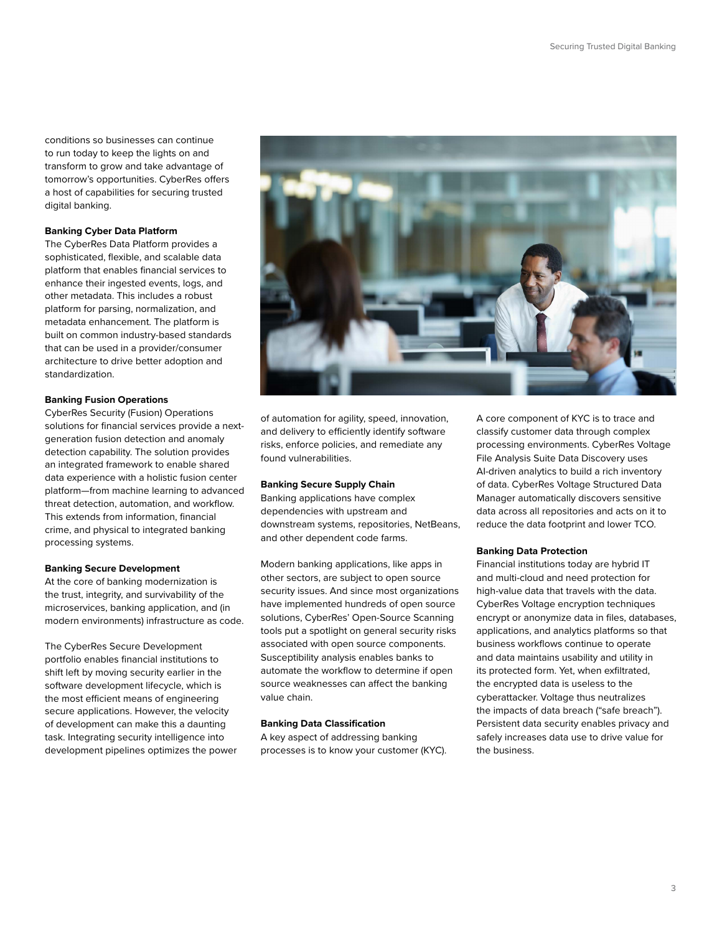conditions so businesses can continue to run today to keep the lights on and transform to grow and take advantage of tomorrow's opportunities. CyberRes offers a host of capabilities for securing trusted digital banking.

# **Banking Cyber Data Platform**

The CyberRes Data Platform provides a sophisticated, flexible, and scalable data platform that enables financial services to enhance their ingested events, logs, and other metadata. This includes a robust platform for parsing, normalization, and metadata enhancement. The platform is built on common industry-based standards that can be used in a provider/consumer architecture to drive better adoption and standardization.

## **Banking Fusion Operations**

CyberRes Security (Fusion) Operations solutions for financial services provide a nextgeneration fusion detection and anomaly detection capability. The solution provides an integrated framework to enable shared data experience with a holistic fusion center platform—from machine learning to advanced threat detection, automation, and workflow. This extends from information, financial crime, and physical to integrated banking processing systems.

## **Banking Secure Development**

At the core of banking modernization is the trust, integrity, and survivability of the microservices, banking application, and (in modern environments) infrastructure as code.

The CyberRes Secure Development portfolio enables financial institutions to shift left by moving security earlier in the software development lifecycle, which is the most efficient means of engineering secure applications. However, the velocity of development can make this a daunting task. Integrating security intelligence into development pipelines optimizes the power



of automation for agility, speed, innovation, and delivery to efficiently identify software risks, enforce policies, and remediate any found vulnerabilities.

## **Banking Secure Supply Chain**

Banking applications have complex dependencies with upstream and downstream systems, repositories, NetBeans, and other dependent code farms.

Modern banking applications, like apps in other sectors, are subject to open source security issues. And since most organizations have implemented hundreds of open source solutions, CyberRes' Open-Source Scanning tools put a spotlight on general security risks associated with open source components. Susceptibility analysis enables banks to automate the workflow to determine if open source weaknesses can affect the banking value chain.

## **Banking Data Classification**

A key aspect of addressing banking processes is to know your customer (KYC). A core component of KYC is to trace and classify customer data through complex processing environments. CyberRes Voltage File Analysis Suite Data Discovery uses AI-driven analytics to build a rich inventory of data. CyberRes Voltage Structured Data Manager automatically discovers sensitive data across all repositories and acts on it to reduce the data footprint and lower TCO.

## **Banking Data Protection**

Financial institutions today are hybrid IT and multi-cloud and need protection for high-value data that travels with the data. CyberRes Voltage encryption techniques encrypt or anonymize data in files, databases, applications, and analytics platforms so that business workflows continue to operate and data maintains usability and utility in its protected form. Yet, when exfiltrated, the encrypted data is useless to the cyberattacker. Voltage thus neutralizes the impacts of data breach ("safe breach"). Persistent data security enables privacy and safely increases data use to drive value for the business.